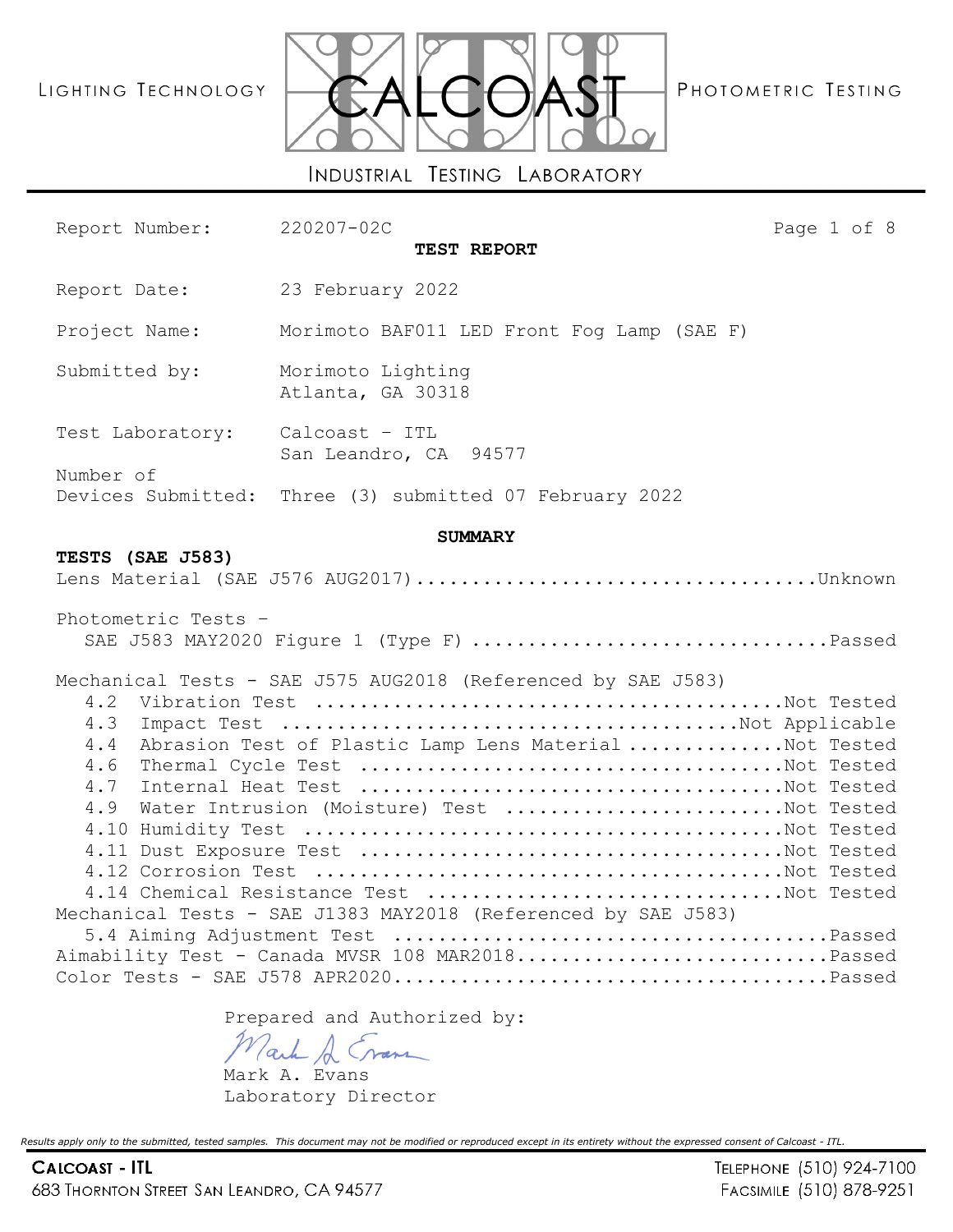# LIGHTING TECHNOLOGY



PHOTOMETRIC TESTING

Report Number: 220207-02C Page 1 of 8

**TEST REPORT** Report Date: 23 February 2022 Project Name: Morimoto BAF011 LED Front Fog Lamp (SAE F) Submitted by: Morimoto Lighting Atlanta, GA 30318 Test Laboratory: Calcoast – ITL San Leandro, CA 94577 Number of Devices Submitted: Three (3) submitted 07 February 2022 **SUMMARY TESTS (SAE J583)** Lens Material (SAE J576 AUG2017)....................................Unknown Photometric Tests – SAE J583 MAY2020 Figure 1 (Type F) ................................Passed Mechanical Tests - SAE J575 AUG2018 (Referenced by SAE J583) 4.2 Vibration Test ..........................................Not Tested 4.3 Impact Test .........................................Not Applicable 4.4 Abrasion Test of Plastic Lamp Lens Material ..............Not Tested 4.6 Thermal Cycle Test ......................................Not Tested 4.7 Internal Heat Test ......................................Not Tested 4.9 Water Intrusion (Moisture) Test .........................Not Tested 4.10 Humidity Test ...........................................Not Tested 4.11 Dust Exposure Test ......................................Not Tested 4.12 Corrosion Test ..........................................Not Tested 4.14 Chemical Resistance Test ................................Not Tested Mechanical Tests - SAE J1383 MAY2018 (Referenced by SAE J583) 5.4 Aiming Adjustment Test .......................................Passed Aimability Test - Canada MVSR 108 MAR2018...............................Passed Color Tests - SAE J578 APR2020.......................................Passed

Prepared and Authorized by:

ack A Cran

Mark A. Evans Laboratory Director

*Results apply only to the submitted, tested samples. This document may not be modified or reproduced except in its entirety without the expressed consent of Calcoast - ITL.*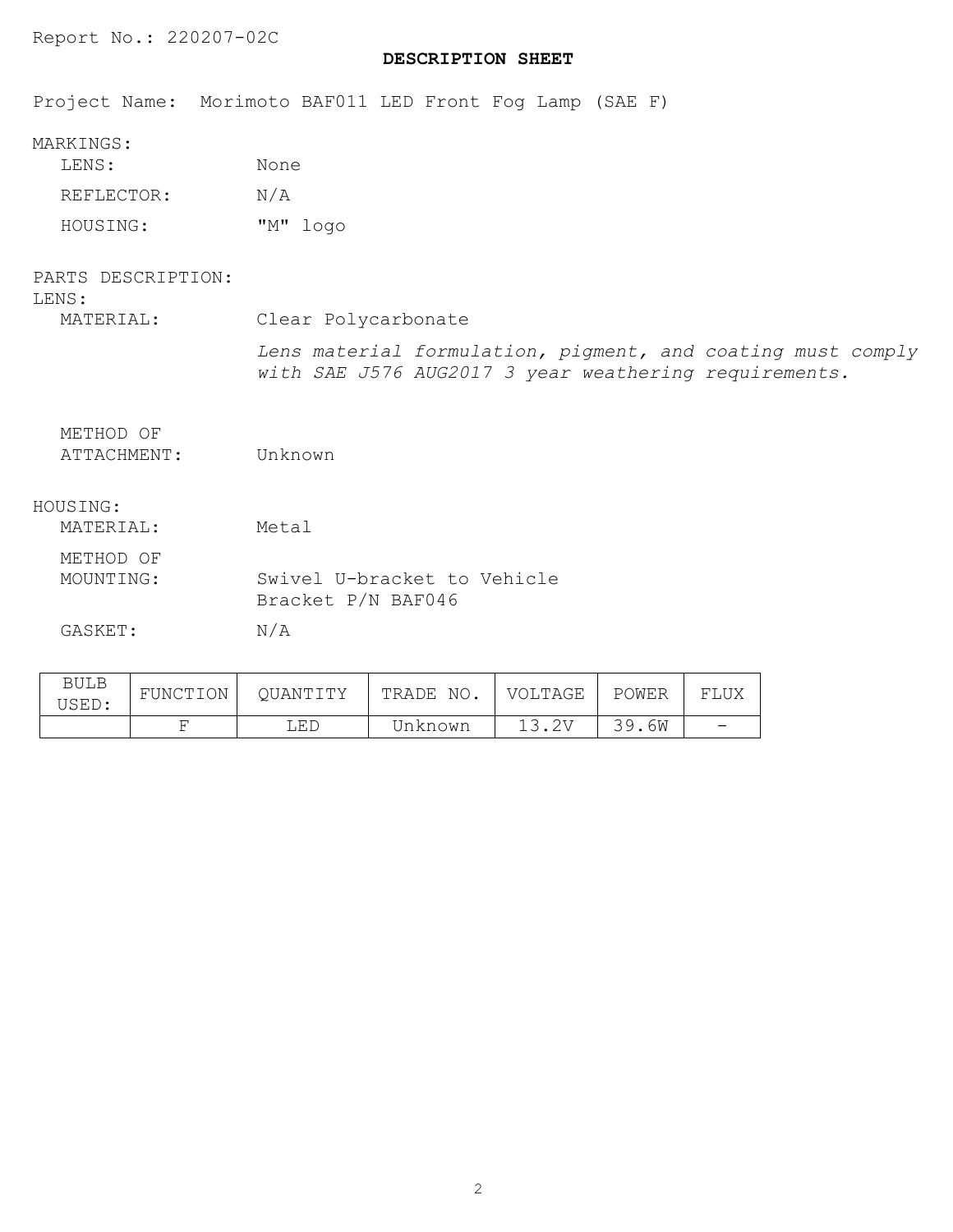# **DESCRIPTION SHEET**

Project Name: Morimoto BAF011 LED Front Fog Lamp (SAE F)

| LENS:      | None |          |
|------------|------|----------|
| REFLECTOR: | N/A  |          |
| HOUSING:   |      | "M" logo |

| PARTS DESCRIPTION:<br>LENS: |                                                                                                                      |
|-----------------------------|----------------------------------------------------------------------------------------------------------------------|
| MATERIAL:                   | Clear Polycarbonate                                                                                                  |
|                             | Lens material formulation, pigment, and coating must comply<br>with SAE J576 AUG2017 3 year weathering requirements. |
| METHOD OF<br>ATTACHMENT:    | Unknown                                                                                                              |
| HOUSING:                    |                                                                                                                      |
| MATERIAL:                   | Metal                                                                                                                |
| METHOD OF<br>MOUNTING:      | Swivel U-bracket to Vehicle<br>Bracket P/N BAF046                                                                    |
| GASKET:                     | N/A                                                                                                                  |
|                             |                                                                                                                      |

| BULB<br>USED: | FUNCTION | OUANTITY | TRADE NO. | VOLTAGE | POWER | FLUX |
|---------------|----------|----------|-----------|---------|-------|------|
|               |          | LED      | Unknown   |         | 39.6W |      |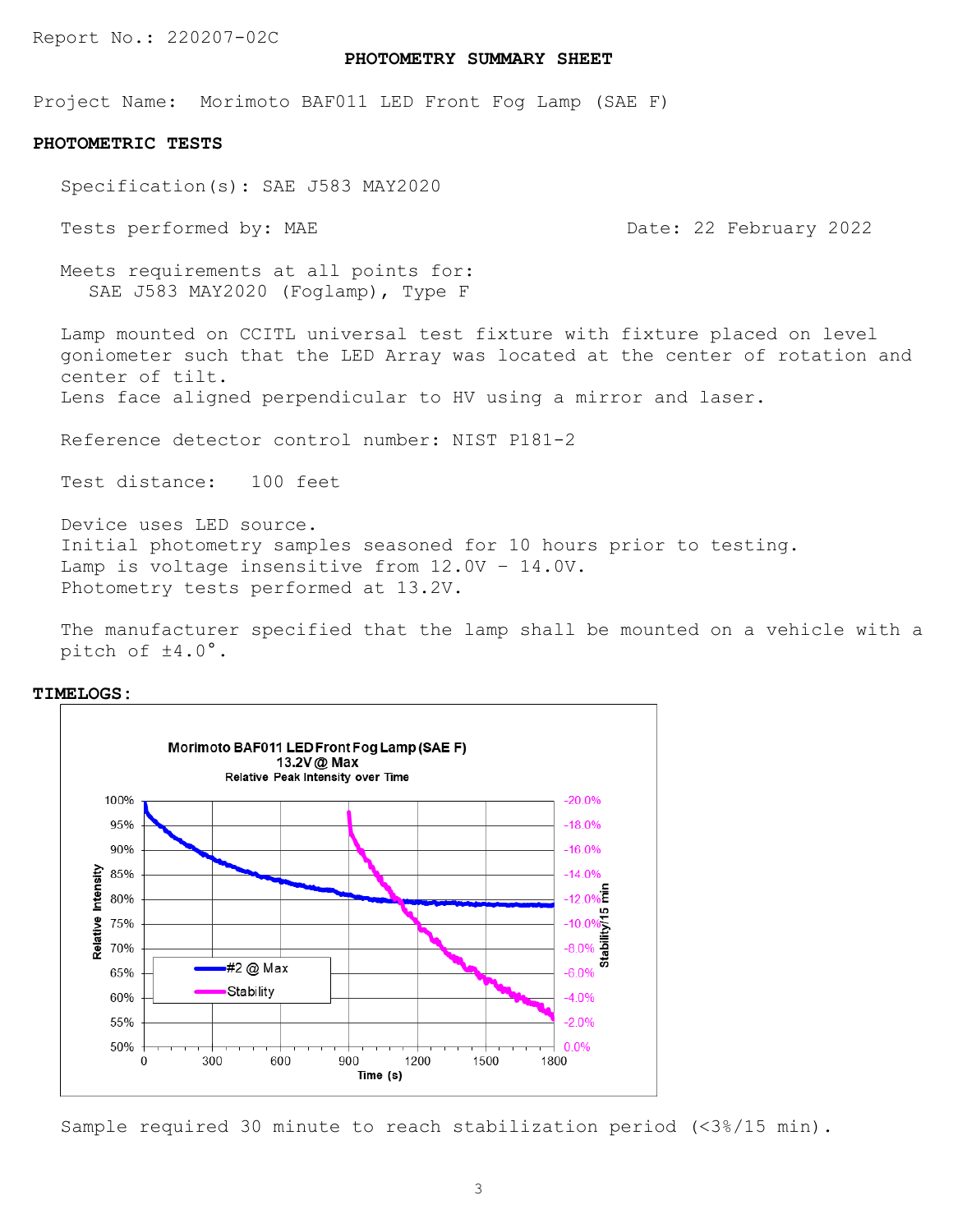#### **PHOTOMETRY SUMMARY SHEET**

Project Name: Morimoto BAF011 LED Front Fog Lamp (SAE F)

#### **PHOTOMETRIC TESTS**

Specification(s): SAE J583 MAY2020

Tests performed by: MAE Date: 22 February 2022

Meets requirements at all points for: SAE J583 MAY2020 (Foglamp), Type F

Lamp mounted on CCITL universal test fixture with fixture placed on level goniometer such that the LED Array was located at the center of rotation and center of tilt.

Lens face aligned perpendicular to HV using a mirror and laser.

Reference detector control number: NIST P181-2

Test distance: 100 feet

Device uses LED source. Initial photometry samples seasoned for 10 hours prior to testing. Lamp is voltage insensitive from 12.0V – 14.0V. Photometry tests performed at 13.2V.

The manufacturer specified that the lamp shall be mounted on a vehicle with a pitch of ±4.0°.



**TIMELOGS:**

Sample required 30 minute to reach stabilization period (<3%/15 min).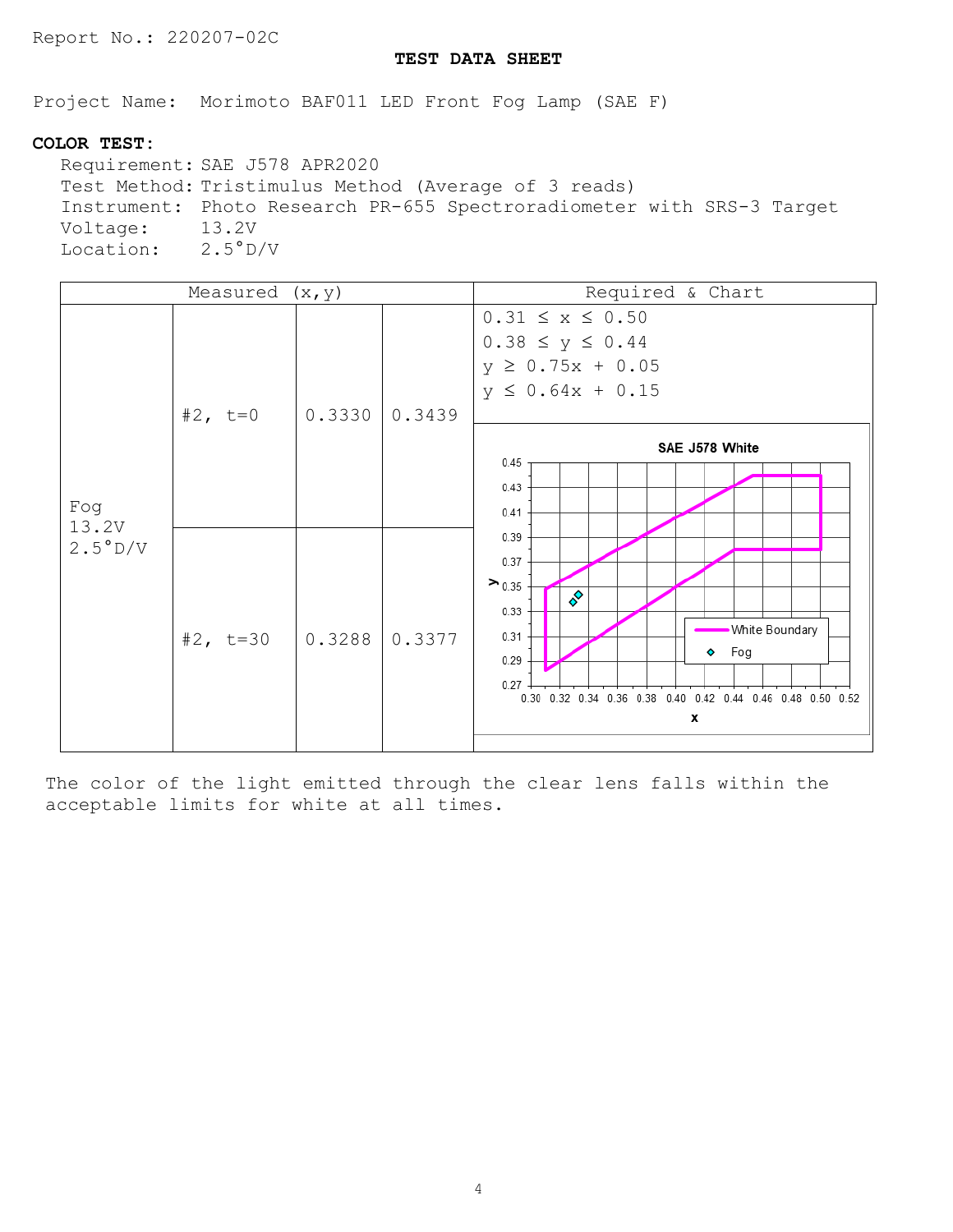# **TEST DATA SHEET**

Project Name: Morimoto BAF011 LED Front Fog Lamp (SAE F)

# **COLOR TEST:**

Requirement: SAE J578 APR2020 Test Method: Tristimulus Method (Average of 3 reads) Instrument: Photo Research PR-655 Spectroradiometer with SRS-3 Target Voltage: Location: 2.5°D/V

|                  | Measured $(x, y)$ |        |        | Required & Chart                                                                                                                                                               |
|------------------|-------------------|--------|--------|--------------------------------------------------------------------------------------------------------------------------------------------------------------------------------|
| Fog              | #2, $t=0$         | 0.3330 | 0.3439 | $0.31 \le x \le 0.50$<br>$0.38 \le y \le 0.44$<br>$y \ge 0.75x + 0.05$<br>$y \le 0.64x + 0.15$<br>SAE J578 White<br>0.45<br>0.43<br>0.41                                       |
| 13.2V<br>2.5°D/V | #2, $t=30$        | 0.3288 | 0.3377 | 0.39<br>0.37<br>$\geq 0.35$<br>♦<br>0.33<br><b>White Boundary</b><br>0.31<br>$\bullet$ Fog<br>0.29<br>0.27<br>0.30 0.32 0.34 0.36 0.38 0.40 0.42 0.44 0.46 0.48 0.50 0.52<br>x |

The color of the light emitted through the clear lens falls within the acceptable limits for white at all times.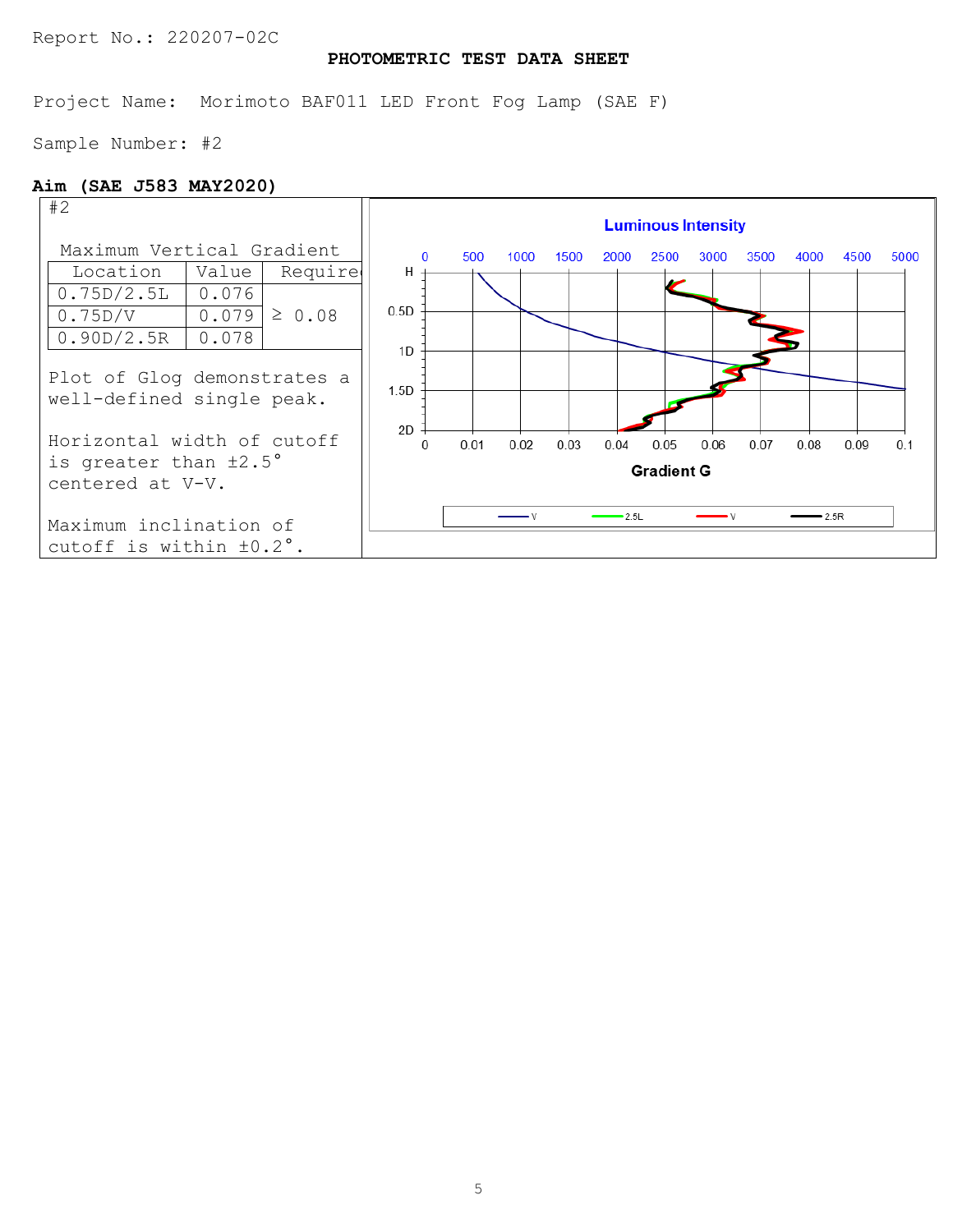# **PHOTOMETRIC TEST DATA SHEET**

Project Name: Morimoto BAF011 LED Front Fog Lamp (SAE F)

Sample Number: #2

# **Aim (SAE J583 MAY2020)**

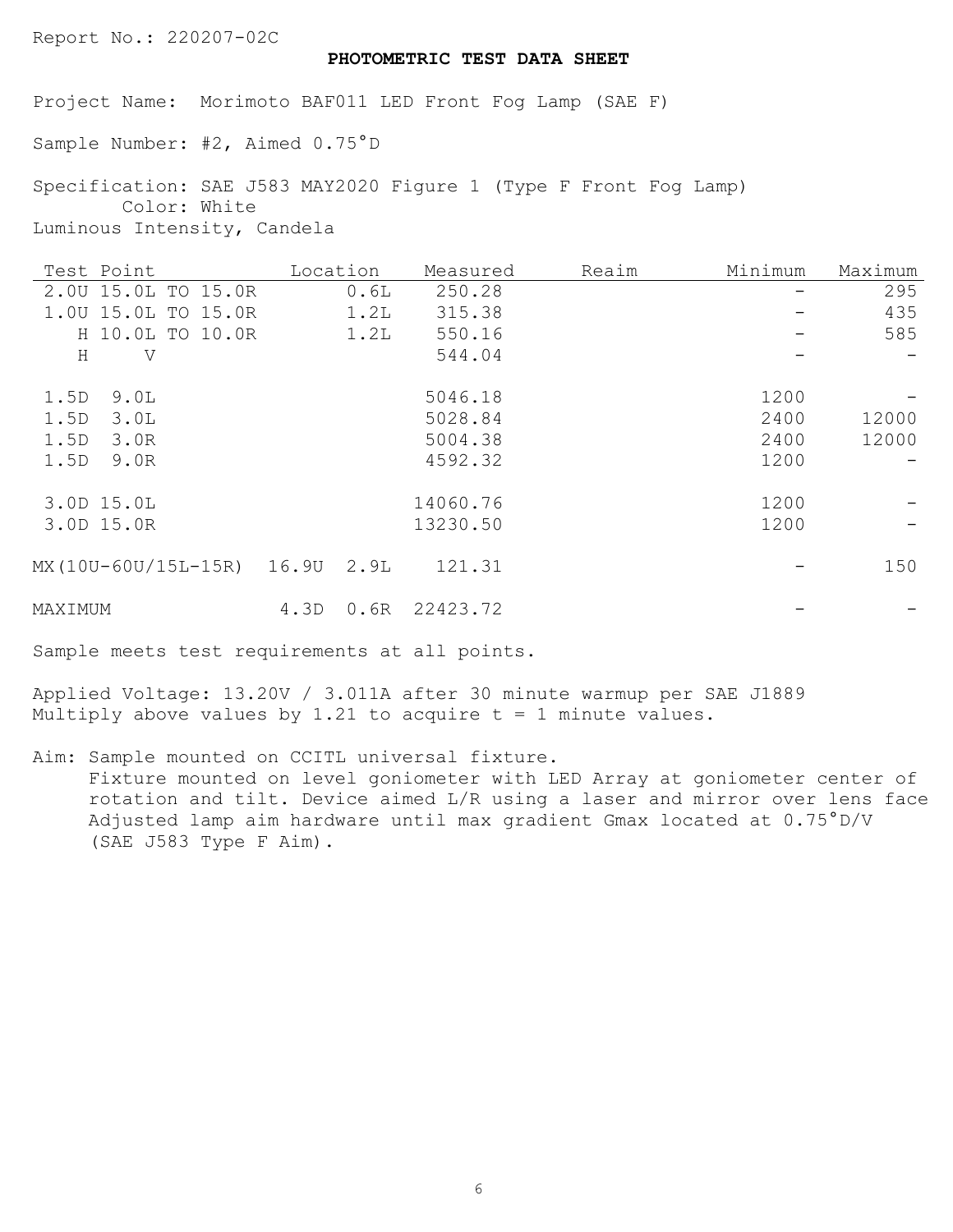## **PHOTOMETRIC TEST DATA SHEET**

Project Name: Morimoto BAF011 LED Front Fog Lamp (SAE F)

Sample Number: #2, Aimed 0.75°D

Specification: SAE J583 MAY2020 Figure 1 (Type F Front Fog Lamp) Color: White Luminous Intensity, Candela

| Test Point                |                  | Location |      | Measured | Reaim | Minimum | Maximum |
|---------------------------|------------------|----------|------|----------|-------|---------|---------|
| 2.00 15.0L TO 15.0R       |                  |          | 0.6L | 250.28   |       |         | 295     |
| 1.00 15.0L TO 15.0R       |                  |          | 1.2L | 315.38   |       |         | 435     |
|                           | H 10.0L TO 10.0R |          | 1.2L | 550.16   |       |         | 585     |
| $\rm H$<br>V              |                  |          |      | 544.04   |       |         |         |
| 1.5D<br>9.0L              |                  |          |      | 5046.18  |       | 1200    |         |
| 1.5D<br>3.0L              |                  |          |      | 5028.84  |       | 2400    | 12000   |
| 1.5D<br>3.0R              |                  |          |      | 5004.38  |       | 2400    | 12000   |
| 1.5D<br>9.0R              |                  |          |      | 4592.32  |       | 1200    |         |
| 3.0D 15.0L                |                  |          |      | 14060.76 |       | 1200    |         |
| 3.0D 15.0R                |                  |          |      | 13230.50 |       | 1200    |         |
| MX(10U-60U/15L-15R) 16.9U |                  |          | 2.9L | 121.31   |       |         | 150     |
| MAXIMUM                   |                  | 4.3D     | 0.6R | 22423.72 |       |         |         |

Sample meets test requirements at all points.

Applied Voltage: 13.20V / 3.011A after 30 minute warmup per SAE J1889 Multiply above values by 1.21 to acquire  $t = 1$  minute values.

Aim: Sample mounted on CCITL universal fixture. Fixture mounted on level goniometer with LED Array at goniometer center of rotation and tilt. Device aimed L/R using a laser and mirror over lens face Adjusted lamp aim hardware until max gradient Gmax located at 0.75°D/V (SAE J583 Type F Aim).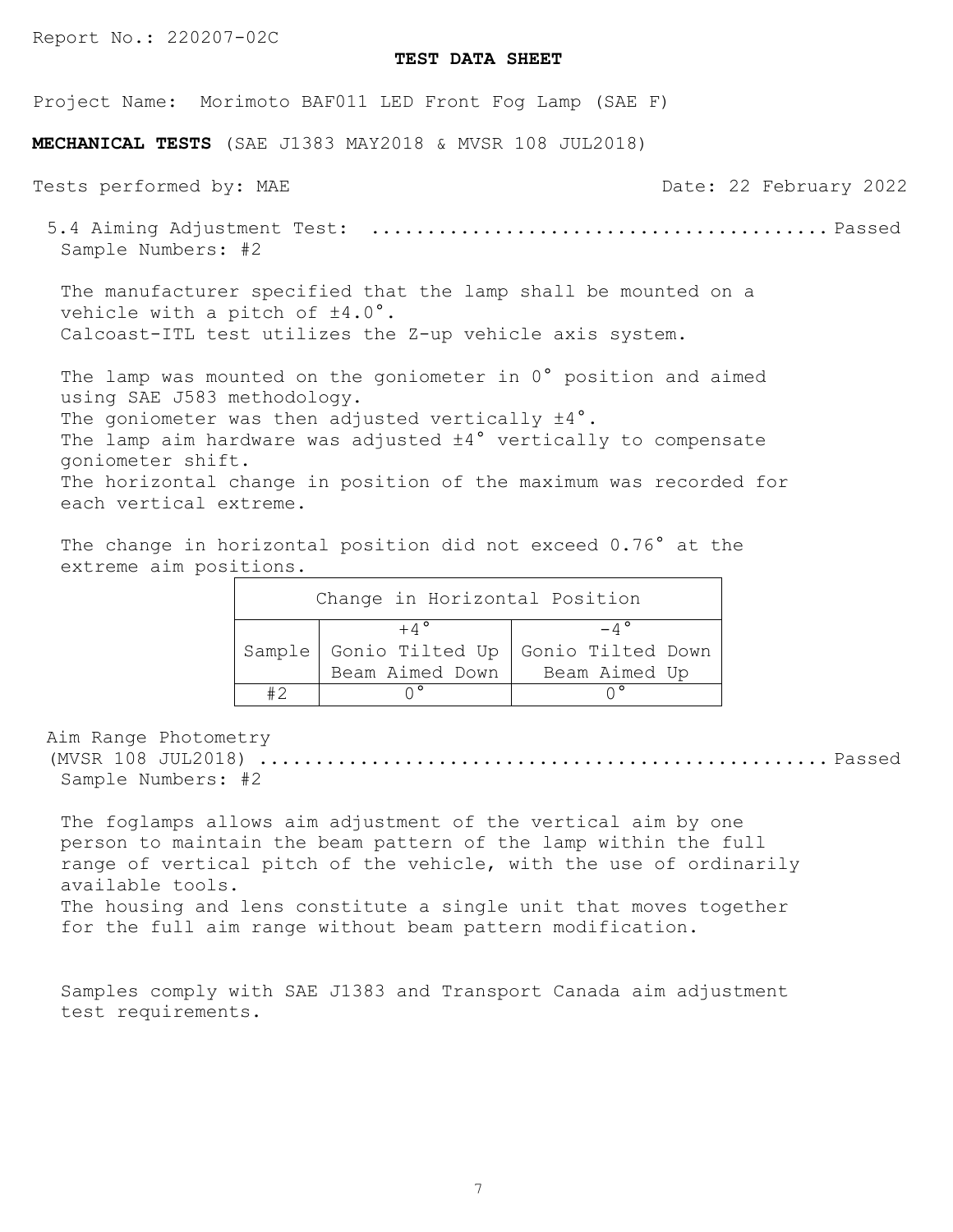#### **TEST DATA SHEET**

Project Name: Morimoto BAF011 LED Front Fog Lamp (SAE F)

**MECHANICAL TESTS** (SAE J1383 MAY2018 & MVSR 108 JUL2018)

Tests performed by: MAE Tests performed by: MAE Date: 22 February 2022 5.4 Aiming Adjustment Test: ......................................... Passed Sample Numbers: #2 The manufacturer specified that the lamp shall be mounted on a vehicle with a pitch of  $\pm 4.0^{\circ}$ . Calcoast-ITL test utilizes the Z-up vehicle axis system. The lamp was mounted on the goniometer in 0° position and aimed using SAE J583 methodology. The goniometer was then adjusted vertically  $\pm 4^{\circ}$ . The lamp aim hardware was adjusted  $\pm 4^{\circ}$  vertically to compensate

goniometer shift. The horizontal change in position of the maximum was recorded for

each vertical extreme.

The change in horizontal position did not exceed 0.76° at the extreme aim positions.

| Change in Horizontal Position |                         |                                          |  |  |
|-------------------------------|-------------------------|------------------------------------------|--|--|
|                               | $+ \wedge$ <sup>o</sup> |                                          |  |  |
|                               |                         | Sample Gonio Tilted Up Gonio Tilted Down |  |  |
|                               | Beam Aimed Down         | Beam Aimed Up                            |  |  |
|                               | $\wedge$ °              |                                          |  |  |

Aim Range Photometry

(MVSR 108 JUL2018) ................................................... Passed Sample Numbers: #2

The foglamps allows aim adjustment of the vertical aim by one person to maintain the beam pattern of the lamp within the full range of vertical pitch of the vehicle, with the use of ordinarily available tools. The housing and lens constitute a single unit that moves together

for the full aim range without beam pattern modification.

Samples comply with SAE J1383 and Transport Canada aim adjustment test requirements.